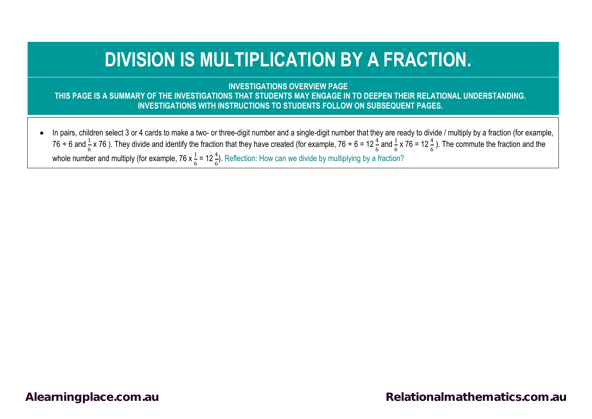## **DIVISION IS MULTIPLICATION BY A FRACTION.**

**INVESTIGATIONS OVERVIEW PAGE**

**THIS PAGE IS A SUMMARY OF THE INVESTIGATIONS THAT STUDENTS MAY ENGAGE IN TO DEEPEN THEIR RELATIONAL UNDERSTANDING. INVESTIGATIONS WITH INSTRUCTIONS TO STUDENTS FOLLOW ON SUBSEQUENT PAGES.**

• In pairs, children select 3 or 4 cards to make a two- or three-digit number and a single-digit number that they are ready to divide / multiply by a fraction (for example, 76 ÷ 6 and  $\frac{1}{6}$  x 76 ). They divide and identify the fraction that they have created (for example, 76 ÷ 6 = 12  $\frac{4}{6}$  and  $\frac{1}{6}$  x 76 = 12  $\frac{4}{6}$ ). The commute the fraction and the whole number and multiply (for example, 76 x  $\frac{1}{6}$  = 12 $\frac{4}{6}$ ). Reflection: How can we divide by multiplying by a fraction?